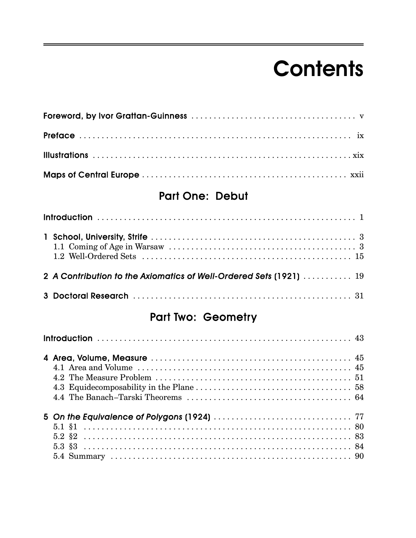# **Contents**

#### Part One: Debut

| 2 A Contribution to the Axiomatics of Well-Ordered Sets (1921)  19 |  |  |  |  |
|--------------------------------------------------------------------|--|--|--|--|
|                                                                    |  |  |  |  |

#### Part Two: Geometry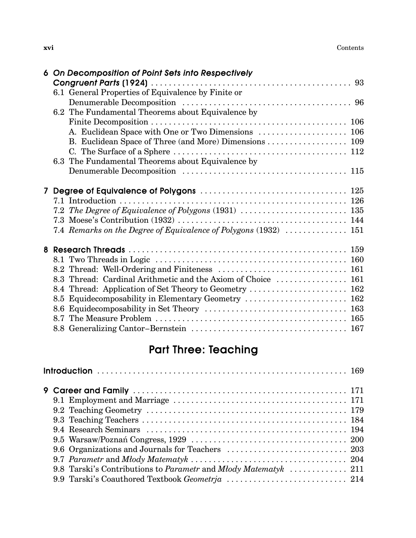|                | 6 On Decomposition of Point Sets into Respectively               |  |  |  |  |  |
|----------------|------------------------------------------------------------------|--|--|--|--|--|
|                |                                                                  |  |  |  |  |  |
|                | 6.1 General Properties of Equivalence by Finite or               |  |  |  |  |  |
|                |                                                                  |  |  |  |  |  |
|                | 6.2 The Fundamental Theorems about Equivalence by                |  |  |  |  |  |
|                |                                                                  |  |  |  |  |  |
|                | A. Euclidean Space with One or Two Dimensions  106               |  |  |  |  |  |
|                | B. Euclidean Space of Three (and More) Dimensions  109           |  |  |  |  |  |
|                |                                                                  |  |  |  |  |  |
|                | 6.3 The Fundamental Theorems about Equivalence by                |  |  |  |  |  |
|                |                                                                  |  |  |  |  |  |
|                |                                                                  |  |  |  |  |  |
| 7 <sup>1</sup> |                                                                  |  |  |  |  |  |
|                |                                                                  |  |  |  |  |  |
|                | 7.2 The Degree of Equivalence of Polygons (1931)  135            |  |  |  |  |  |
|                |                                                                  |  |  |  |  |  |
|                | 7.4 Remarks on the Degree of Equivalence of Polygons (1932)  151 |  |  |  |  |  |
|                |                                                                  |  |  |  |  |  |
|                |                                                                  |  |  |  |  |  |
|                |                                                                  |  |  |  |  |  |
|                | 8.3 Thread: Cardinal Arithmetic and the Axiom of Choice  161     |  |  |  |  |  |
|                | 8.4 Thread: Application of Set Theory to Geometry  162           |  |  |  |  |  |
|                | 8.5 Equidecomposability in Elementary Geometry  162              |  |  |  |  |  |
|                |                                                                  |  |  |  |  |  |
|                |                                                                  |  |  |  |  |  |
|                |                                                                  |  |  |  |  |  |
|                |                                                                  |  |  |  |  |  |

### Part Three: Teaching

| 9.8 Tarski's Contributions to Parametr and Młody Matematyk  211 |  |
|-----------------------------------------------------------------|--|
| 9.9 Tarski's Coauthored Textbook Geometrja  214                 |  |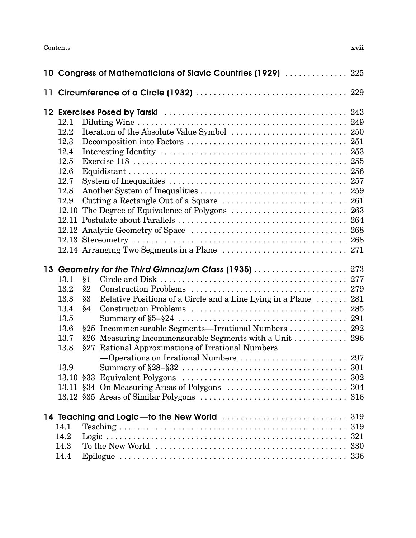Contents **xvii**

|      |      |    | 10 Congress of Mathematicians of Slavic Countries (1929)  225   |     |
|------|------|----|-----------------------------------------------------------------|-----|
|      |      |    |                                                                 |     |
|      |      |    |                                                                 |     |
|      | 12.1 |    |                                                                 |     |
|      | 12.2 |    |                                                                 |     |
|      | 12.3 |    |                                                                 |     |
|      | 12.4 |    |                                                                 |     |
|      | 12.5 |    |                                                                 |     |
|      | 12.6 |    |                                                                 |     |
|      | 12.7 |    |                                                                 |     |
|      | 12.8 |    |                                                                 |     |
|      | 12.9 |    |                                                                 |     |
|      |      |    | 12.10 The Degree of Equivalence of Polygons  263                |     |
|      |      |    |                                                                 |     |
|      |      |    |                                                                 |     |
|      |      |    |                                                                 |     |
|      |      |    |                                                                 |     |
|      |      |    | 13 Geometry for the Third Gimnazjum Class (1935)  273           |     |
|      | 13.1 | §1 |                                                                 |     |
|      | 13.2 | §2 |                                                                 |     |
|      | 13.3 | §3 | Relative Positions of a Circle and a Line Lying in a Plane  281 |     |
|      | 13.4 | §4 |                                                                 |     |
|      | 13.5 |    |                                                                 |     |
|      | 13.6 |    | §25 Incommensurable Segments—Irrational Numbers  292            |     |
|      | 13.7 |    | §26 Measuring Incommensurable Segments with a Unit  296         |     |
|      | 13.8 |    | §27 Rational Approximations of Irrational Numbers               |     |
|      |      |    | -Operations on Irrational Numbers  297                          |     |
|      | 13.9 |    |                                                                 |     |
|      |      |    |                                                                 |     |
|      |      |    |                                                                 |     |
|      |      |    |                                                                 |     |
|      |      |    |                                                                 |     |
|      | 14.1 |    |                                                                 | 319 |
| 14.2 |      |    |                                                                 |     |
|      |      |    |                                                                 |     |
|      | 14.4 |    |                                                                 |     |